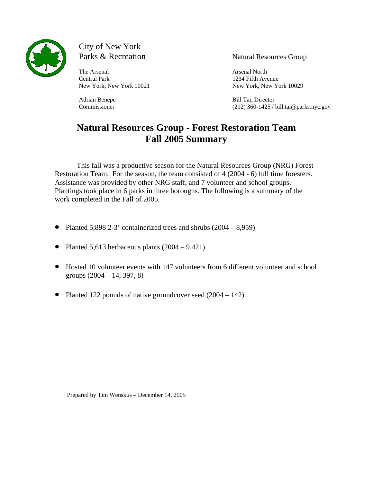

City of New York<br>Parks & Recreation

The Arsenal Arsenal Arsenal Arsenal North and Arsenal North and Arsenal North and Arsenal North and Arsenal North and Arsenal North and Arsenal North and Arsenal North and Arsenal North and Arsenal North and Arsenal North Central Park 1234 Fifth Avenue

Natural Resources Group

New York, New York 10021 New York, New York 10029

Adrian Benepe Bill Tai, Director Commissioner (212) 360-1425 / bill.tai@parks.nyc.gov

# **Natural Resources Group - Forest Restoration Team Fall 2005 Summary**

This fall was a productive season for the Natural Resources Group (NRG) Forest Restoration Team. For the season, the team consisted of 4 (2004 - 6) full time foresters. Assistance was provided by other NRG staff, and 7 volunteer and school groups. Plantings took place in 6 parks in three boroughs. The following is a summary of the work completed in the Fall of 2005.

- Planted 5,898 2-3' containerized trees and shrubs  $(2004 8,959)$
- Planted 5,613 herbaceous plants  $(2004 9,421)$
- Hosted 10 volunteer events with 147 volunteers from 6 different volunteer and school groups  $(2004 - 14, 397, 8)$
- Planted 122 pounds of native groundcover seed (2004 142)

Prepared by Tim Wenskus – December 14, 2005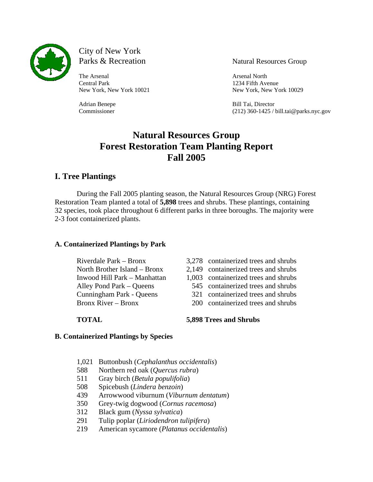

City of New York Parks & Recreation Natural Resources Group

The Arsenal Arsenal Arsenal North and Arsenal North and Arsenal North and Arsenal North and Arsenal North and Arsenal North and Arsenal North and Arsenal North and Arsenal North and Arsenal North and Arsenal North and Arse Central Park 1234 Fifth Avenue

New York, New York 10021 New York, New York 10029

Adrian Benepe Bill Tai, Director Commissioner (212) 360-1425 / bill.tai@parks.nyc.gov

## **Natural Resources Group Forest Restoration Team Planting Report Fall 2005**

## **I. Tree Plantings**

During the Fall 2005 planting season, the Natural Resources Group (NRG) Forest Restoration Team planted a total of **5,898** trees and shrubs. These plantings, containing 32 species, took place throughout 6 different parks in three boroughs. The majority were 2-3 foot containerized plants.

### **A. Containerized Plantings by Park**

- 
- Riverdale Park Bronx 3,278 containerized trees and shrubs
- North Brother Island Bronx 2,149 containerized trees and shrubs
- Inwood Hill Park Manhattan 1,003 containerized trees and shrubs
- Alley Pond Park Queens 545 containerized trees and shrubs
- Cunningham Park Queens 321 containerized trees and shrubs
- Bronx River Bronx 200 containerized trees and shrubs

### **TOTAL 5,898 Trees and Shrubs**

### **B. Containerized Plantings by Species**

- 1,021 Buttonbush (*Cephalanthus occidentalis*)
- 588 Northern red oak (*Quercus rubra*)
- 511 Gray birch (*Betula populifolia*)
- 508 Spicebush (*Lindera benzoin*)
- 439 Arrowwood viburnum (*Viburnum dentatum*)
- 350 Grey-twig dogwood (*Cornus racemosa*)
- 312 Black gum (*Nyssa sylvatica*)
- 291 Tulip poplar (*Liriodendron tulipifera*)
- 219 American sycamore (*Platanus occidentalis*)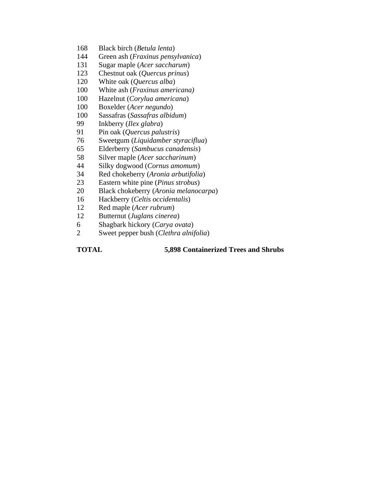- 168 Black birch (*Betula lenta*)
- 144 Green ash (*Fraxinus pensylvanica*)
- 131 Sugar maple (*Acer saccharum*)
- 123 Chestnut oak (*Quercus prinus*)
- 120 White oak (*Quercus alba*)
- 100 White ash (*Fraxinus americana)*
- 100 Hazelnut (*Corylua americana*)
- 100 Boxelder (*Acer negundo*)
- 100 Sassafras (*Sassafras albidum*)
- 99 Inkberry (*Ilex glabra*)
- 91 Pin oak (*Quercus palustris*)
- 76 Sweetgum (*Liquidamber styraciflua*)
- 65 Elderberry (*Sambucus canadensis*)
- 58 Silver maple (*Acer saccharinum*)
- 44 Silky dogwood (*Cornus amomum*)
- 34 Red chokeberry (*Aronia arbutifolia*)
- 23 Eastern white pine (*Pinus strobus*)
- 20 Black chokeberry (*Aronia melanocarpa*)
- 16 Hackberry (*Celtis occidentalis*)
- 12 Red maple (*Acer rubrum*)
- 12 Butternut (*Juglans cinerea*)
- 6 Shagbark hickory (*Carya ovata*)
- 2 Sweet pepper bush (*Clethra alnifolia*)

#### **TOTAL 5,898 Containerized Trees and Shrubs**